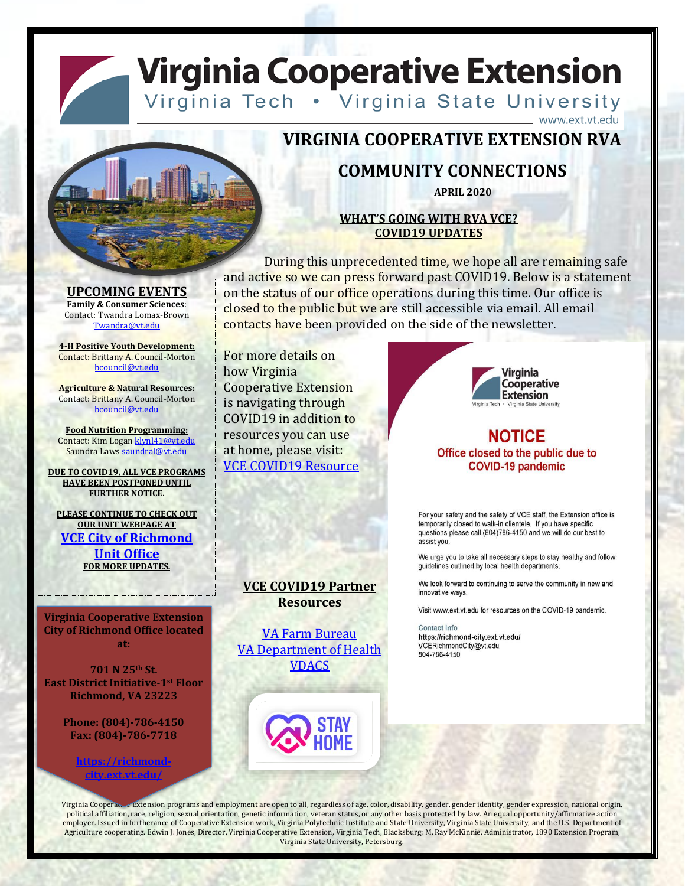## **Virginia Cooperative Extension** Virginia Tech . Virginia State University



### **VIRGINIA COOPERATIVE EXTENSION RVA**

### **COMMUNITY CONNECTIONS**

**APRIL 2020**

#### **WHAT'S GOING WITH RVA VCE? COVID19 UPDATES**

During this unprecedented time, we hope all are remaining safe and active so we can press forward past COVID19. Below is a statement on the status of our office operations during this time. Our office is closed to the public but we are still accessible via email. All email contacts have been provided on the side of the newsletter.

[Twandra@vt.edu](mailto:Twandra@vt.edu) **4-H Positive Youth Development:** Contact: Brittany A. Council-Morton [bcouncil@vt.edu](mailto:bcouncil@vt.edu)

**UPCOMING EVENTS Family & Consumer Sciences**: Contact: Twandra Lomax-Brown

**Agriculture & Natural Resources:** Contact: Brittany A. Council-Morton [bcouncil@vt.edu](mailto:bcouncil@vt.edu)

**Food Nutrition Programming:** Contact: Kim Logan [klynl41@vt.edu](mailto:klynl41@vt.edu) Saundra Laws [saundral@vt.edu](mailto:saundral@vt.edu)

**DUE TO COVID19, ALL VCE PROGRAMS HAVE BEEN POSTPONED UNTIL FURTHER NOTICE.**

**PLEASE CONTINUE TO CHECK OUT OUR UNIT WEBPAGE AT [VCE City of Richmond](https://richmond-city.ext.vt.edu/index.html)  [Unit Office](https://richmond-city.ext.vt.edu/index.html) FOR MORE UPDATES.**

**Virginia Cooperative Extension City of Richmond Office located at:**

**701 N 25th St. East District Initiative-1st Floor Richmond, VA 23223**

> **Phone: (804)-786-4150 Fax: (804)-786-7718**

> > **[https://richmond](https://richmond-city.ext.vt.edu/)[city.ext.vt.edu/](https://richmond-city.ext.vt.edu/)**

For more details on how Virginia Cooperative Extension is navigating through COVID19 in addition to resources you can use at home, please visit: [VCE COVID19 Resource](https://ext.vt.edu/covid-19updates/resources.html)

**Virginia** Cooperative **Extension** 

www.ext.vt.edu

#### **NOTICE** Office closed to the public due to **COVID-19 pandemic**

For your safety and the safety of VCE staff, the Extension office is temporarily closed to walk-in clientele. If you have specific questions please call (804)786-4150 and we will do our best to assist you.

We urge you to take all necessary steps to stay healthy and follow guidelines outlined by local health departments.

We look forward to continuing to serve the community in new and innovative ways.

Visit www.ext.vt.edu for resources on the COVID-19 pandemic.

Contact Info https://richmond-city.ext.vt.edu/ VCERichmondCity@vt.edu 804-786-4150

**Resources** [VA Farm Bureau](https://www.vafb.com/FarmerResources)

**VCE COVID19 Partner** 

[VA Department of Health](http://www.vdh.virginia.gov/coronavirus/) [VDACS](https://www.vdacs.virginia.gov/about-emergency-information.shtml)



Virginia Cooperat. Extension programs and employment are open to all, regardless of age, color, disability, gender, gender identity, gender expression, national origin, political affiliation, race, religion, sexual orientation, genetic information, veteran status, or any other basis protected by law. An equal opportunity/affirmative action employer. Issued in furtherance of Cooperative Extension work, Virginia Polytechnic Institute and State University, Virginia State University, and the U.S. Department of Agriculture cooperating. Edwin J. Jones, Director, Virginia Cooperative Extension, Virginia Tech, Blacksburg; M. Ray McKinnie, Administrator, 1890 Extension Program, Virginia State University, Petersburg.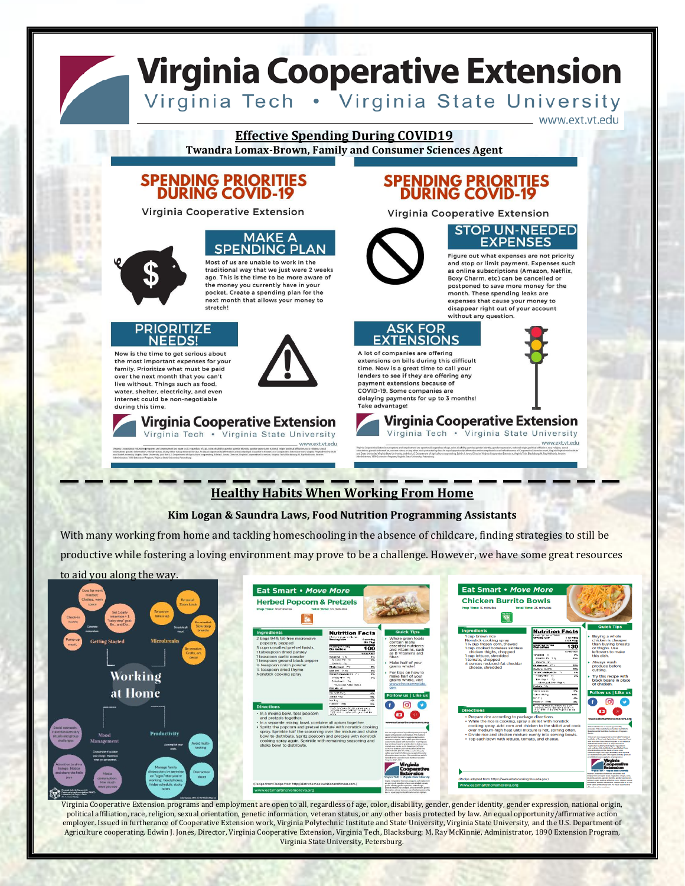# **Virginia Cooperative Extension**

Virginia Tech . Virginia State University

www.ext.vt.edu

#### **Effective Spending During COVID19**

**Twandra Lomax-Brown, Family and Consumer Sciences Agent**

## **SPENDING PRIORITIES<br>DURING COVID-19**

Virginia Cooperative Extension

**Virginia Cooperative Extension** 

Virginia Tech . Virginia State University

#### **MAKE A SPENDING PI**

Most of us are unable to work in the traditional way that we just were 2 weeks ago. This is the time to be more aware of the money you currently have in your pocket. Create a spending plan for the next month that allows your money to stretch!

## IZE

生き

Now is the time to get serious about the most important expenses for your family. Prioritize what must be paid over the next month that you can't live without. Things such as food, water, shelter, electricity, and even internet could be non-negotiable during this time



# **SPENDING PRIORITIES<br>DURING COVID-19**

Virginia Cooperative Extension



#### **STOP UN-NEEDED EXPENSES**

Figure out what expenses are not priority and stop or limit payment. Expenses such as online subscriptions (Amazon, Netflix, Boxy Charm, etc) can be cancelled or postponed to save more money for the month. These spending leaks are expenses that cause your money to disappear right out of your account without any question.



A lot of companies are offering extensions on bills during this difficult time. Now is a great time to call your<br>lenders to see if they are offering any payment extensions because of COVID-19. Some companies are delaying payments for up to 3 months! Take advantage!



**Virginia Cooperative Extension** Virginia Tech . Virginia State University

### **Healthy Habits When Working From Home**

vww.ext.vt.edu

#### **Kim Logan & Saundra Laws, Food Nutrition Programming Assistants**

With many working from home and tackling homeschooling in the absence of childcare, finding strategies to still be

productive while fostering a loving environment may prove to be a challenge. However, we have some great resources



Virginia Cooperative Extension programs and employment are open to all, regardless of age, color, disability, gender, gender identity, gender expression, national origin, political affiliation, race, religion, sexual orientation, genetic information, veteran status, or any other basis protected by law. An equal opportunity/affirmative action employer. Issued in furtherance of Cooperative Extension work, Virginia Polytechnic Institute and State University, Virginia State University, and the U.S. Department of Agriculture cooperating. Edwin J. Jones, Director, Virginia Cooperative Extension, Virginia Tech, Blacksburg; M. Ray McKinnie, Administrator, 1890 Extension Program, Virginia State University, Petersburg.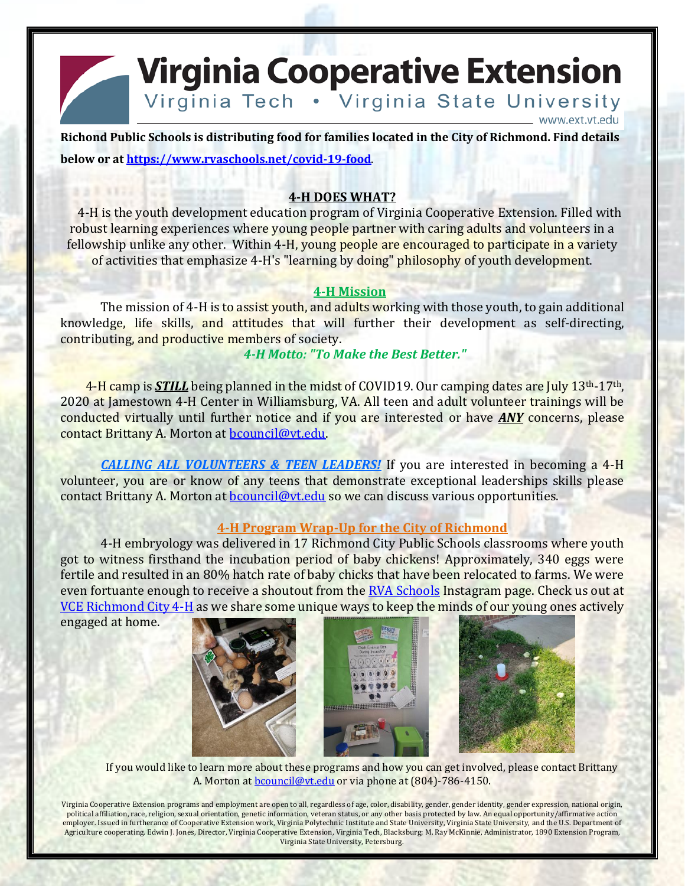**Virginia Cooperative Extension** Virginia Tech . Virginia State University

**Richond Public Schools is distributing food for families located in the City of Richmond. Find details below or at<https://www.rvaschools.net/covid-19-food>**.

#### **4-H DOES WHAT?**

4-H is the youth development education program of Virginia Cooperative Extension. Filled with robust learning experiences where young people partner with caring adults and volunteers in a fellowship unlike any other. Within 4-H, young people are encouraged to participate in a variety of activities that emphasize 4-H's "learning by doing" philosophy of youth development.

#### **4-H Mission**

The mission of 4-H is to assist youth, and adults working with those youth, to gain additional knowledge, life skills, and attitudes that will further their development as self-directing, contributing, and productive members of society.

#### *4-H Motto: "To Make the Best Better."*

4-H camp is **STILL** being planned in the midst of COVID19. Our camping dates are July 13<sup>th</sup>-17<sup>th</sup>, 2020 at Jamestown 4-H Center in Williamsburg, VA. All teen and adult volunteer trainings will be conducted virtually until further notice and if you are interested or have *ANY* concerns, please contact Brittany A. Morton at [bcouncil@vt.edu.](mailto:bcouncil@vt.edu)

*CALLING ALL VOLUNTEERS & TEEN LEADERS!* If you are interested in becoming a 4-H volunteer, you are or know of any teens that demonstrate exceptional leaderships skills please contact Brittany A. Morton at **bcouncil@vt.edu** so we can discuss various opportunities.

#### **4-H Program Wrap-Up for the City of Richmond**

4-H embryology was delivered in 17 Richmond City Public Schools classrooms where youth got to witness firsthand the incubation period of baby chickens! Approximately, 340 eggs were fertile and resulted in an 80% hatch rate of baby chicks that have been relocated to farms. We were even fortuante enough to receive a shoutout from the [RVA Schools](https://www.instagram.com/rvaschools/) Instagram page. Check us out at [VCE Richmond City 4-H](https://www.facebook.com/VCE-Richmond-City-4-H-1079024292150847/) as we share some unique ways to keep the minds of our young ones actively

engaged at home.







www.ext.vt.edu

If you would like to learn more about these programs and how you can get involved, please contact Brittany A. Morton at [bcouncil@vt.edu](mailto:bcouncil@vt.edu) or via phone at (804)-786-4150.

Virginia Cooperative Extension programs and employment are open to all, regardless of age, color, disability, gender, gender identity, gender expression, national origin, political affiliation, race, religion, sexual orientation, genetic information, veteran status, or any other basis protected by law. An equal opportunity/affirmative action employer. Issued in furtherance of Cooperative Extension work, Virginia Polytechnic Institute and State University, Virginia State University, and the U.S. Department of Agriculture cooperating. Edwin J. Jones, Director, Virginia Cooperative Extension, Virginia Tech, Blacksburg; M. Ray McKinnie, Administrator, 1890 Extension Program, Virginia State University, Petersburg.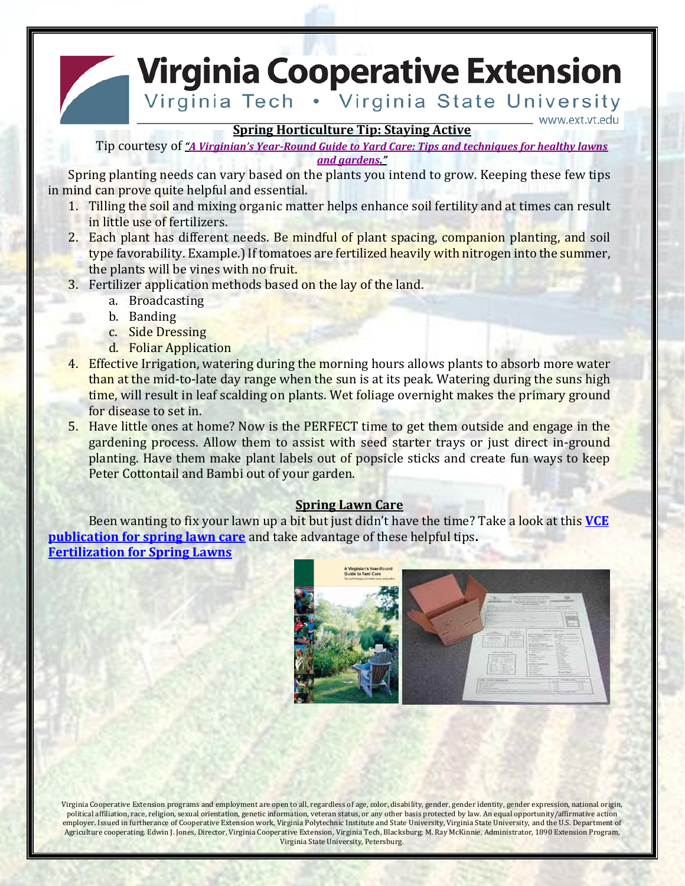**Virginia Cooperative Extension** 

Virginia Tech . Virginia State University www.ext.vt.edu

**Spring Horticulture Tip: Staying Active**

Tip courtesy of *"A Virginian's Year-Round [Guide to Yard Care: Tips and techniques for healthy lawns](https://www.dcr.virginia.gov/soil-and-water/document/yardcare.pdf)  [and gardens](https://www.dcr.virginia.gov/soil-and-water/document/yardcare.pdf)."*

Spring planting needs can vary based on the plants you intend to grow. Keeping these few tips in mind can prove quite helpful and essential.

- 1. Tilling the soil and mixing organic matter helps enhance soil fertility and at times can result in little use of fertilizers.
- 2. Each plant has different needs. Be mindful of plant spacing, companion planting, and soil type favorability. Example.) If tomatoes are fertilized heavily with nitrogen into the summer, the plants will be vines with no fruit.
- 3. Fertilizer application methods based on the lay of the land.
	- a. Broadcasting
	- b. Banding
	- c. Side Dressing
	- d. Foliar Application
- 4. Effective Irrigation, watering during the morning hours allows plants to absorb more water than at the mid-to-late day range when the sun is at its peak. Watering during the suns high time, will result in leaf scalding on plants. Wet foliage overnight makes the primary ground for disease to set in.
- 5. Have little ones at home? Now is the PERFECT time to get them outside and engage in the gardening process. Allow them to assist with seed starter trays or just direct in-ground planting. Have them make plant labels out of popsicle sticks and create fun ways to keep Peter Cottontail and Bambi out of your garden.

#### **Spring Lawn Care**

Been wanting to fix your lawn up a bit but just didn't have the time? Take a look at this **[VCE](https://www.pubs.ext.vt.edu/content/dam/pubs_ext_vt_edu/430/430-532/430-532_pdf.pdf)  [publication for spring lawn care](https://www.pubs.ext.vt.edu/content/dam/pubs_ext_vt_edu/430/430-532/430-532_pdf.pdf)** and take advantage of these helpful tips**. [Fertilization for Spring Lawns](https://ext.vt.edu/lawn-garden/turfandgardentips/tips/spring_fertilization.html)**



Virginia Cooperative Extension programs and employment are open to all, regardless of age, color, disability, gender, gender identity, gender expression, national origin, political affiliation, race, religion, sexual orientation, genetic information, veteran status, or any other basis protected by law. An equal opportunity/affirmative action employer. Issued in furtherance of Cooperative Extension work, Virginia Polytechnic Institute and State University, Virginia State University, and the U.S. Department of Agriculture cooperating. Edwin J. Jones, Director, Virginia Cooperative Extension, Virginia Tech, Blacksburg; M. Ray McKinnie, Administrator, 1890 Extension Program, Virginia State University, Petersburg.